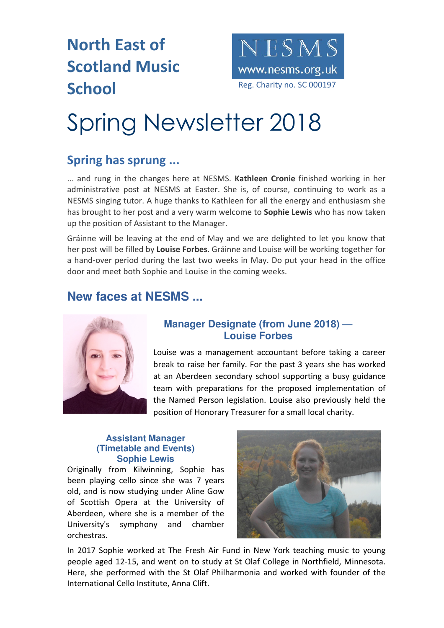### **North East of Scotland Music**  School Reg. Charity no. SC 000197



# Spring Newsletter 2018

### **Spring has sprung ...**

... and rung in the changes here at NESMS. **Kathleen Cronie** finished working in her administrative post at NESMS at Easter. She is, of course, continuing to work as a NESMS singing tutor. A huge thanks to Kathleen for all the energy and enthusiasm she has brought to her post and a very warm welcome to **Sophie Lewis** who has now taken up the position of Assistant to the Manager.

Gráinne will be leaving at the end of May and we are delighted to let you know that her post will be filled by **Louise Forbes**. Gráinne and Louise will be working together for a hand-over period during the last two weeks in May. Do put your head in the office door and meet both Sophie and Louise in the coming weeks.

### **New faces at NESMS ...**



#### **Manager Designate (from June 2018) — Louise Forbes**

Louise was a management accountant before taking a career break to raise her family. For the past 3 years she has worked at an Aberdeen secondary school supporting a busy guidance team with preparations for the proposed implementation of the Named Person legislation. Louise also previously held the position of Honorary Treasurer for a small local charity.

#### **Assistant Manager (Timetable and Events) Sophie Lewis**

Originally from Kilwinning, Sophie has been playing cello since she was 7 years old, and is now studying under Aline Gow of Scottish Opera at the University of Aberdeen, where she is a member of the University's symphony and chamber orchestras.



In 2017 Sophie worked at The Fresh Air Fund in New York teaching music to young people aged 12-15, and went on to study at St Olaf College in Northfield, Minnesota. Here, she performed with the St Olaf Philharmonia and worked with founder of the International Cello Institute, Anna Clift.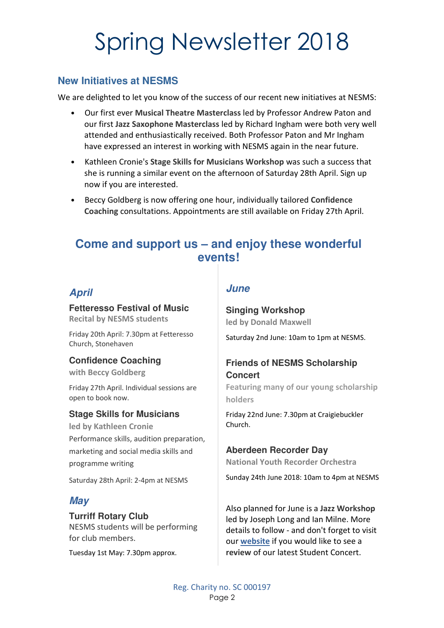## Spring Newsletter 2018

#### **New Initiatives at NESMS**

We are delighted to let you know of the success of our recent new initiatives at NESMS:

- Our first ever **Musical Theatre Masterclass** led by Professor Andrew Paton and our first **Jazz Saxophone Masterclass** led by Richard Ingham were both very well attended and enthusiastically received. Both Professor Paton and Mr Ingham have expressed an interest in working with NESMS again in the near future.
- Kathleen Cronie's **Stage Skills for Musicians Workshop** was such a success that she is running a similar event on the afternoon of Saturday 28th April. Sign up now if you are interested.
- Beccy Goldberg is now offering one hour, individually tailored **Confidence Coaching** consultations. Appointments are still available on Friday 27th April.

### **Come and support us – and enjoy these wonderful events!**

#### **April**

**Fetteresso Festival of Music Recital by NESMS students**

Friday 20th April: 7.30pm at Fetteresso Church, Stonehaven

#### **Confidence Coaching**

**with Beccy Goldberg**

Friday 27th April. Individual sessions are open to book now.

#### **Stage Skills for Musicians**

**led by Kathleen Cronie** Performance skills, audition preparation, marketing and social media skills and programme writing

Saturday 28th April: 2-4pm at NESMS

#### **May**

#### **Turriff Rotary Club**

NESMS students will be performing for club members.

Tuesday 1st May: 7.30pm approx.

#### **June**

**Singing Workshop led by Donald Maxwell** Saturday 2nd June: 10am to 1pm at NESMS.

#### **Friends of NESMS Scholarship Concert**

**Featuring many of our young scholarship holders**

Friday 22nd June: 7.30pm at Craigiebuckler Church.

#### **Aberdeen Recorder Day**

**National Youth Recorder Orchestra**

Sunday 24th June 2018: 10am to 4pm at NESMS

Also planned for June is a **Jazz Workshop** led by Joseph Long and Ian Milne. More details to follow - and don't forget to visit our **website** if you would like to see a **review** of our latest Student Concert.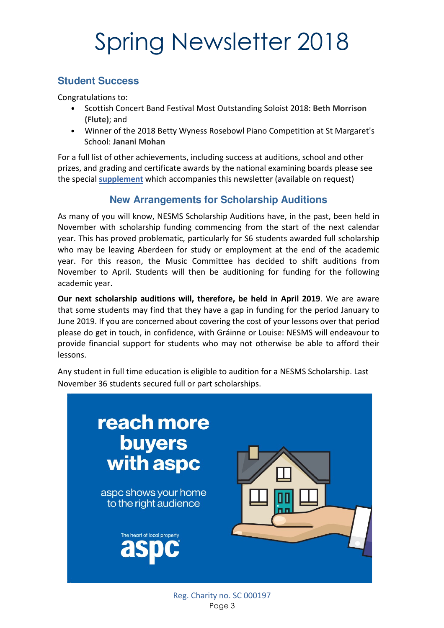# Spring Newsletter 2018

#### **Student Success**

Congratulations to:

- Scottish Concert Band Festival Most Outstanding Soloist 2018: **Beth Morrison (Flute)**; and
- Winner of the 2018 Betty Wyness Rosebowl Piano Competition at St Margaret's School: **Janani Mohan**

For a full list of other achievements, including success at auditions, school and other prizes, and grading and certificate awards by the national examining boards please see the special **supplement** which accompanies this newsletter (available on request)

#### **New Arrangements for Scholarship Auditions**

As many of you will know, NESMS Scholarship Auditions have, in the past, been held in November with scholarship funding commencing from the start of the next calendar year. This has proved problematic, particularly for S6 students awarded full scholarship who may be leaving Aberdeen for study or employment at the end of the academic year. For this reason, the Music Committee has decided to shift auditions from November to April. Students will then be auditioning for funding for the following academic year.

**Our next scholarship auditions will, therefore, be held in April 2019**. We are aware that some students may find that they have a gap in funding for the period January to June 2019. If you are concerned about covering the cost of your lessons over that period please do get in touch, in confidence, with Gráinne or Louise: NESMS will endeavour to provide financial support for students who may not otherwise be able to afford their lessons.

Any student in full time education is eligible to audition for a NESMS Scholarship. Last November 36 students secured full or part scholarships.



Reg. Charity no. SC 000197 Page 3